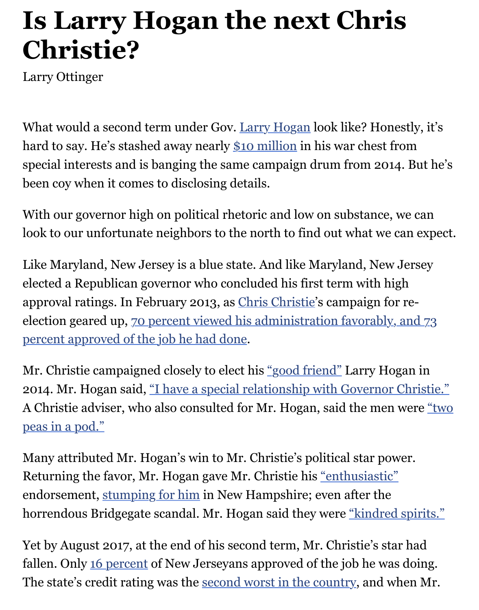## Larry Ottinger

What would a second term under Gov. Larry Hogan look like? Hones hard to say. He's stashed away nearly \$10 million in his war chest from special interests and is banging the same campaign drum from 2014. been coy when it comes to disclosing details.

With our governor high on political rh[etoric and low](http://www.baltimoresun.com/topic/politics-government/government/larry-hogan-PEPLT0009123-topic.html) on substance, we look to our unfortunate neighbors to [the north to](https://www.wsj.com/articles/maryland-democrats-vie-for-chance-to-unseat-popular-gop-governor-1529928000) find out what we ca

Like Maryland, New Jersey is a blue state. And like Maryland, New Je elected a Republican governor who concluded his first term with high approval ratings. In February 2013, as *Chris Christie's campaign for re*election geared up, 70 percent viewed his administration favorably, a percent approved of the job he had done.

Mr. Christie campaigned closely to elect his "good friend" Larry Hoga 2014. Mr. Hogan said, "I have a specia[l relationship w](http://www.baltimoresun.com/topic/politics-government/chris-christie-PEPLT0000017577-topic.html)ith Governor Cl A Christie adviser, who also consulted for Mr. Hogan, said the men w peas in a pod."

Many attributed Mr. Hogan's win to Mr. Ch[ristie's politica](https://www.washingtonpost.com/news/post-politics/wp/2015/07/02/chris-christie-wears-hogan-strong-bracelet-for-md-governor/?utm_term=.48a0c6d43f55)l star power. Returning the favor, Mr. Hogan gave Mr. Christie his <u>"enthusiastic"</u> [endorsement, stumping for him in New Hampshire; even after the](https://www.washingtonpost.com/local/md-politics/hogan-endorses-christie-for-the-republican-nomination-for-president/2015/07/15/3d095528-2a99-11e5-bd33-395c05608059_story.html?utm_term=.3a095c12100b) horrendous Bridgegate scandal. Mr. Hogan said they were "kindred spirits."

Yet by August 2017, at the end of his second term, Mr. Christie's star fallen. Only 16 percent of New Jerseyans approved of [the job he was](https://www.washingtonpost.com/local/md-politics/hogan-endorses-christie-for-the-republican-nomination-for-president/2015/07/15/3d095528-2a99-11e5-bd33-395c05608059_story.html?utm_term=.3a095c12100b) doing. The state's cre[dit rating was the](http://www.baltimoresun.com/news/maryland/politics/blog/bal-gov-hogan-to-campaign-in-new-hampshire-for-christie-20151215-story.html) second worst in the country, and when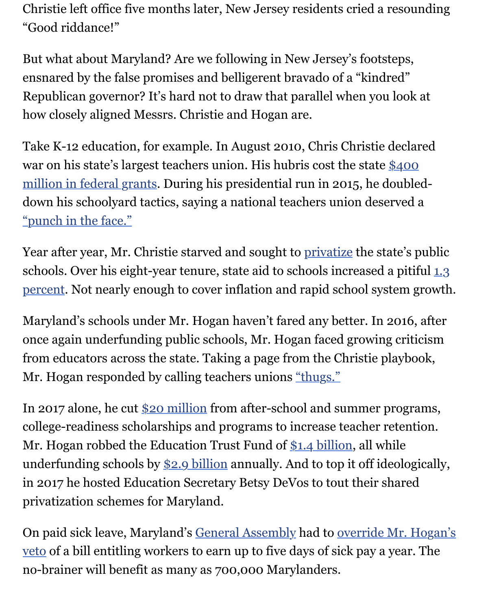ensnared by the false promises and belligerent bravado of a "kindred" Republican governor? It's hard not to draw that parallel when you look how closely aligned Messrs. Christie and Hogan are.

Take K-12 education, for example. In August 2010, Chris Christie dec war on his state's largest teachers union. His hubris cost the state \$400 million in federal grants. During his presidential run in 2015, he doul down his schoolyard tactics, saying a national teachers union deserve "punch in the face."

Year after year, Mr. Christie starved and sought to privatize the state' schools. Over his eight-year tenure, state aid to schools increased a pi percent. Not nearly enough to cover inflation and rapid school system

Maryland's schools under Mr. Hogan haven't fared any better. In 2016 once again underfunding public schools, Mr. Hoga[n faced g](https://thinkprogress.org/christie-worked-for-firm-that-represented-for-profit-schools-now-pushing-for-school-privatization-ce0fd3635331/)rowing criticism from educators across the state. Taking a page from the Christie playl Mr. Hogan responded by calling teachers unions "thugs."

In 2017 alone, he cut \$20 million from after-school and summer prog college-readiness scholarships and programs to increase teacher reter Mr. Hogan robbed the Education Trust Fund of \$1.4 billion, all while underfunding schools by  $$2.9$  billion annually. A[nd to top](https://www.washingtonpost.com/local/md-politics/hogan-calls-teachers-union-officials-thugs-on-social-facebook/2016/08/06/16c6adce-5c03-11e6-9aee-8075993d73a2_story.html?utm_term=.50f7a6fdb0c3) it off ideologie in 2017 he hosted Ed[ucation Secr](https://www.marylandeducators.org/hot-issues/school-funding)etary Betsy DeVos to tout their share privatization schemes for Maryland.

On paid sick leave, Maryland's General Assembl[y had to ove](https://www.marylandeducators.org/hot-issues/school-funding)rride Mr. veto of a bill entitling wo[rkers to earn](https://www.marylandeducators.org/hot-issues/school-funding) up to five days of sick pay a year. no-brainer will benefit as many as 700,000 Marylanders.